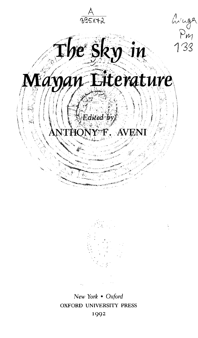$\frac{A}{395172}$ minga<br>Pm<br>133  $\mathbf{I}$ he Sk $y$ nan Literature . *\ '' \ \ "} Edited ¥yj.* Y<sup>\*</sup>F. AVEN



New Yor^ • *Oxford* OXFORD UNIVERSITY PRESS 1992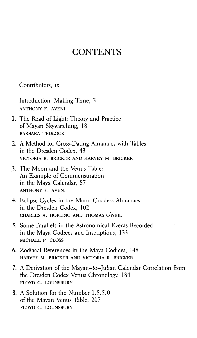## **CONTENTS**

Contributors, ix

Introduction: Making Time, 3 ANTHONY F. AVENI

- 1. The Road of Light: Theory and Practice of Mayan Skywatching, 18 BARBARA TEDLOCK
- 2. A Method for Cross-Dating Almanacs with Tables in the Dresden Codex, 43 VICTORIA R. BRICKER AND HARVEY M. BRICKER
- 3. The Moon and the Venus Table: An Example of Commensuration in the Maya Calendar, 87 ANTHONY F. AVENI
- 4. Eclipse Cycles in the Moon Goddess Almanacs in the Dresden Codex, 102 CHARLES A. HOFLING AND THOMAS O'NEIL
- 5. Some Parallels in the Astronomical Events Recorded in the Maya Codices and Inscriptions, 133 MICHAEL P. CLOSS
- 6. Zodiacal References in the Maya Codices, 148 HARVEY M. BRICKER AND VICTORIA R. BRICKER
- 7. A Derivation of the Mayan-to-Julian Calendar Correlation from the Dresden Codex Venus Chronology, 184 FLOYD G. LOUNSBURY
- 8. A Solution for the Number 1.5.5.0 of the Mayan Venus Table, 207 FLOYD G. LOUNSBURY